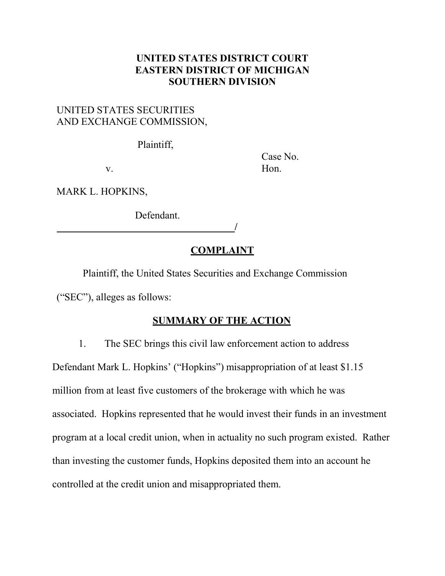# **UNITED STATES DISTRICT COURT EASTERN DISTRICT OF MICHIGAN SOUTHERN DIVISION**

# UNITED STATES SECURITIES AND EXCHANGE COMMISSION,

Plaintiff,

Case No. v. Hon.

MARK L. HOPKINS,

Defendant.

# **COMPLAINT**

**/**

Plaintiff, the United States Securities and Exchange Commission ("SEC"), alleges as follows:

# **SUMMARY OF THE ACTION**

1. The SEC brings this civil law enforcement action to address Defendant Mark L. Hopkins' ("Hopkins") misappropriation of at least \$1.15 million from at least five customers of the brokerage with which he was associated. Hopkins represented that he would invest their funds in an investment program at a local credit union, when in actuality no such program existed. Rather than investing the customer funds, Hopkins deposited them into an account he controlled at the credit union and misappropriated them.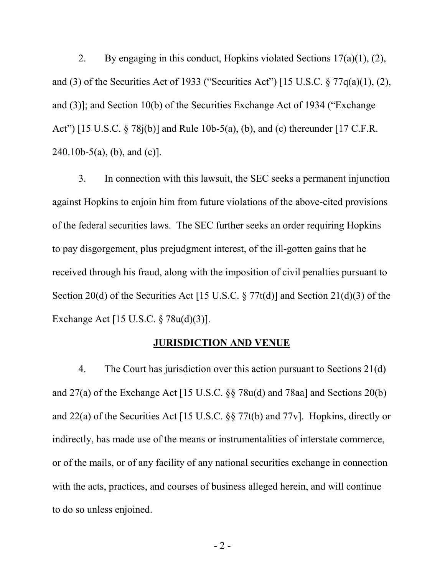2. By engaging in this conduct, Hopkins violated Sections  $17(a)(1)$ ,  $(2)$ , and (3) of the Securities Act of 1933 ("Securities Act") [15 U.S.C. § 77q(a)(1), (2), and (3)]; and Section 10(b) of the Securities Exchange Act of 1934 ("Exchange Act") [15 U.S.C. § 78j(b)] and Rule 10b-5(a), (b), and (c) thereunder [17 C.F.R.  $240.10b-5(a)$ , (b), and (c)].

3. In connection with this lawsuit, the SEC seeks a permanent injunction against Hopkins to enjoin him from future violations of the above-cited provisions of the federal securities laws. The SEC further seeks an order requiring Hopkins to pay disgorgement, plus prejudgment interest, of the ill-gotten gains that he received through his fraud, along with the imposition of civil penalties pursuant to Section 20(d) of the Securities Act [15 U.S.C. § 77t(d)] and Section 21(d)(3) of the Exchange Act [15 U.S.C. § 78u(d)(3)].

### **JURISDICTION AND VENUE**

4. The Court has jurisdiction over this action pursuant to Sections 21(d) and 27(a) of the Exchange Act [15 U.S.C.  $\S$  78u(d) and 78aa] and Sections 20(b) and 22(a) of the Securities Act [15 U.S.C. §§ 77t(b) and 77v]. Hopkins, directly or indirectly, has made use of the means or instrumentalities of interstate commerce, or of the mails, or of any facility of any national securities exchange in connection with the acts, practices, and courses of business alleged herein, and will continue to do so unless enjoined.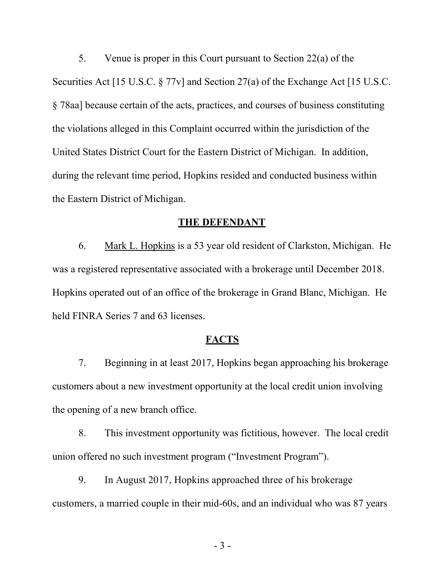5. Venue is proper in this Court pursuant to Section 22(a) of the Securities Act [15 U.S.C. § 77v] and Section 27(a) of the Exchange Act [15 U.S.C. § 78aa] because certain of the acts, practices, and courses of business constituting the violations alleged in this Complaint occurred within the jurisdiction of the United States District Court for the Eastern District of Michigan. In addition, during the relevant time period, Hopkins resided and conducted business within the Eastern District of Michigan.

### **THE DEFENDANT**

6. Mark L. Hopkins is a 53 year old resident of Clarkston, Michigan. He was a registered representative associated with a brokerage until December 2018. Hopkins operated out of an office of the brokerage in Grand Blanc, Michigan. He held FINRA Series 7 and 63 licenses.

## **FACTS**

7. Beginning in at least 2017, Hopkins began approaching his brokerage customers about a new investment opportunity at the local credit union involving the opening of a new branch office.

8. This investment opportunity was fictitious, however. The local credit union offered no such investment program ("Investment Program").

9. In August 2017, Hopkins approached three of his brokerage customers, a married couple in their mid-60s, and an individual who was 87 years

- 3 -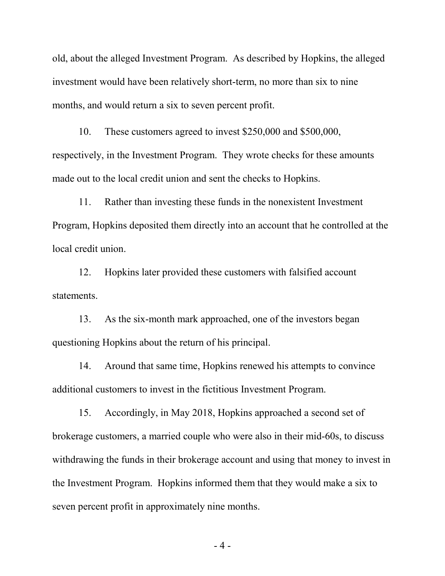old, about the alleged Investment Program. As described by Hopkins, the alleged investment would have been relatively short-term, no more than six to nine months, and would return a six to seven percent profit.

10. These customers agreed to invest \$250,000 and \$500,000, respectively, in the Investment Program. They wrote checks for these amounts made out to the local credit union and sent the checks to Hopkins.

11. Rather than investing these funds in the nonexistent Investment Program, Hopkins deposited them directly into an account that he controlled at the local credit union.

12. Hopkins later provided these customers with falsified account statements.

13. As the six-month mark approached, one of the investors began questioning Hopkins about the return of his principal.

14. Around that same time, Hopkins renewed his attempts to convince additional customers to invest in the fictitious Investment Program.

15. Accordingly, in May 2018, Hopkins approached a second set of brokerage customers, a married couple who were also in their mid-60s, to discuss withdrawing the funds in their brokerage account and using that money to invest in the Investment Program. Hopkins informed them that they would make a six to seven percent profit in approximately nine months.

 $-4-$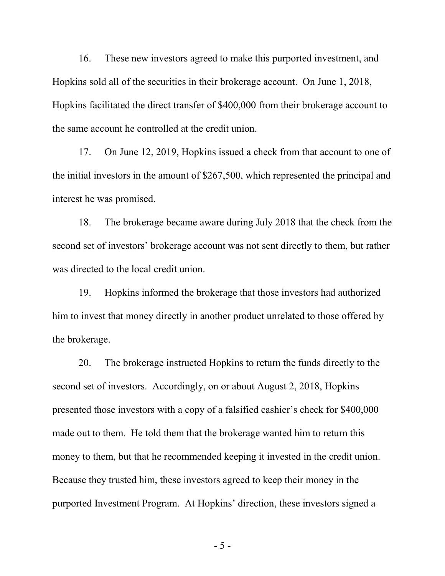16. These new investors agreed to make this purported investment, and Hopkins sold all of the securities in their brokerage account. On June 1, 2018, Hopkins facilitated the direct transfer of \$400,000 from their brokerage account to the same account he controlled at the credit union.

17. On June 12, 2019, Hopkins issued a check from that account to one of the initial investors in the amount of \$267,500, which represented the principal and interest he was promised.

18. The brokerage became aware during July 2018 that the check from the second set of investors' brokerage account was not sent directly to them, but rather was directed to the local credit union.

19. Hopkins informed the brokerage that those investors had authorized him to invest that money directly in another product unrelated to those offered by the brokerage.

20. The brokerage instructed Hopkins to return the funds directly to the second set of investors. Accordingly, on or about August 2, 2018, Hopkins presented those investors with a copy of a falsified cashier's check for \$400,000 made out to them. He told them that the brokerage wanted him to return this money to them, but that he recommended keeping it invested in the credit union. Because they trusted him, these investors agreed to keep their money in the purported Investment Program. At Hopkins' direction, these investors signed a

- 5 -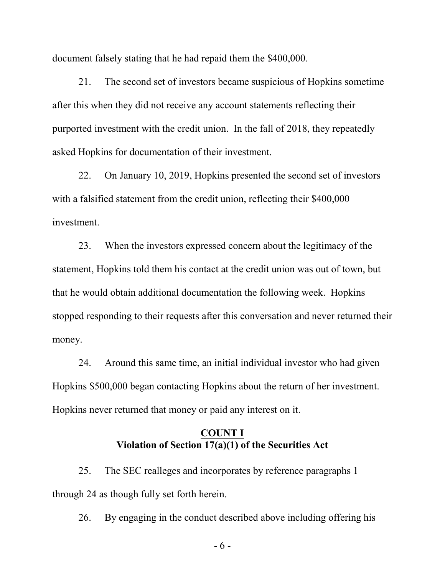document falsely stating that he had repaid them the \$400,000.

21. The second set of investors became suspicious of Hopkins sometime after this when they did not receive any account statements reflecting their purported investment with the credit union. In the fall of 2018, they repeatedly asked Hopkins for documentation of their investment.

22. On January 10, 2019, Hopkins presented the second set of investors with a falsified statement from the credit union, reflecting their \$400,000 investment.

23. When the investors expressed concern about the legitimacy of the statement, Hopkins told them his contact at the credit union was out of town, but that he would obtain additional documentation the following week. Hopkins stopped responding to their requests after this conversation and never returned their money.

24. Around this same time, an initial individual investor who had given Hopkins \$500,000 began contacting Hopkins about the return of her investment. Hopkins never returned that money or paid any interest on it.

## **COUNT I Violation of Section 17(a)(1) of the Securities Act**

25. The SEC realleges and incorporates by reference paragraphs 1 through 24 as though fully set forth herein.

26. By engaging in the conduct described above including offering his

- 6 -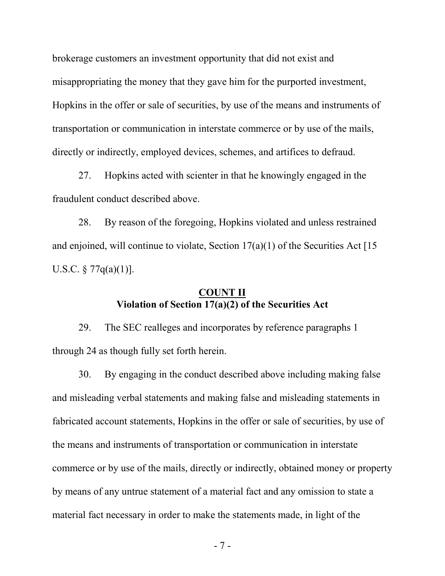brokerage customers an investment opportunity that did not exist and misappropriating the money that they gave him for the purported investment, Hopkins in the offer or sale of securities, by use of the means and instruments of transportation or communication in interstate commerce or by use of the mails, directly or indirectly, employed devices, schemes, and artifices to defraud.

27. Hopkins acted with scienter in that he knowingly engaged in the fraudulent conduct described above.

28. By reason of the foregoing, Hopkins violated and unless restrained and enjoined, will continue to violate, Section  $17(a)(1)$  of the Securities Act [15] U.S.C.  $\S 77q(a)(1)$ ].

## **COUNT II Violation of Section 17(a)(2) of the Securities Act**

29. The SEC realleges and incorporates by reference paragraphs 1 through 24 as though fully set forth herein.

30. By engaging in the conduct described above including making false and misleading verbal statements and making false and misleading statements in fabricated account statements, Hopkins in the offer or sale of securities, by use of the means and instruments of transportation or communication in interstate commerce or by use of the mails, directly or indirectly, obtained money or property by means of any untrue statement of a material fact and any omission to state a material fact necessary in order to make the statements made, in light of the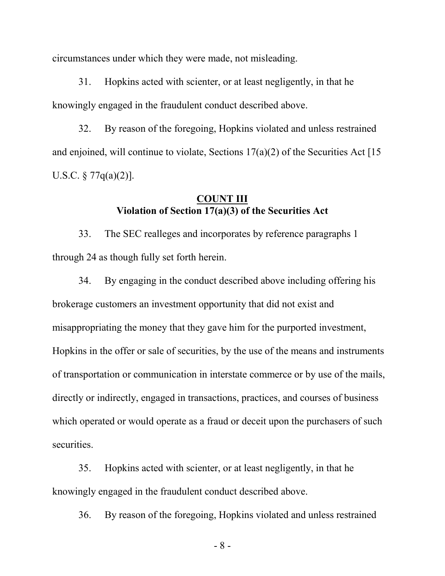circumstances under which they were made, not misleading.

31. Hopkins acted with scienter, or at least negligently, in that he knowingly engaged in the fraudulent conduct described above.

32. By reason of the foregoing, Hopkins violated and unless restrained and enjoined, will continue to violate, Sections  $17(a)(2)$  of the Securities Act [15] U.S.C.  $\S 77q(a)(2)$ ].

## **COUNT III Violation of Section 17(a)(3) of the Securities Act**

33. The SEC realleges and incorporates by reference paragraphs 1 through 24 as though fully set forth herein.

34. By engaging in the conduct described above including offering his brokerage customers an investment opportunity that did not exist and misappropriating the money that they gave him for the purported investment, Hopkins in the offer or sale of securities, by the use of the means and instruments of transportation or communication in interstate commerce or by use of the mails, directly or indirectly, engaged in transactions, practices, and courses of business which operated or would operate as a fraud or deceit upon the purchasers of such securities.

35. Hopkins acted with scienter, or at least negligently, in that he knowingly engaged in the fraudulent conduct described above.

36. By reason of the foregoing, Hopkins violated and unless restrained

- 8 -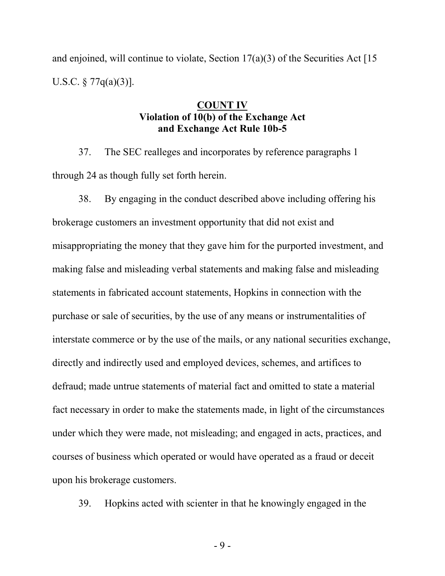and enjoined, will continue to violate, Section  $17(a)(3)$  of the Securities Act [15] U.S.C. § 77q(a)(3)].

# **COUNT IV Violation of 10(b) of the Exchange Act and Exchange Act Rule 10b-5**

37. The SEC realleges and incorporates by reference paragraphs 1 through 24 as though fully set forth herein.

38. By engaging in the conduct described above including offering his brokerage customers an investment opportunity that did not exist and misappropriating the money that they gave him for the purported investment, and making false and misleading verbal statements and making false and misleading statements in fabricated account statements, Hopkins in connection with the purchase or sale of securities, by the use of any means or instrumentalities of interstate commerce or by the use of the mails, or any national securities exchange, directly and indirectly used and employed devices, schemes, and artifices to defraud; made untrue statements of material fact and omitted to state a material fact necessary in order to make the statements made, in light of the circumstances under which they were made, not misleading; and engaged in acts, practices, and courses of business which operated or would have operated as a fraud or deceit upon his brokerage customers.

39. Hopkins acted with scienter in that he knowingly engaged in the

 $-9 -$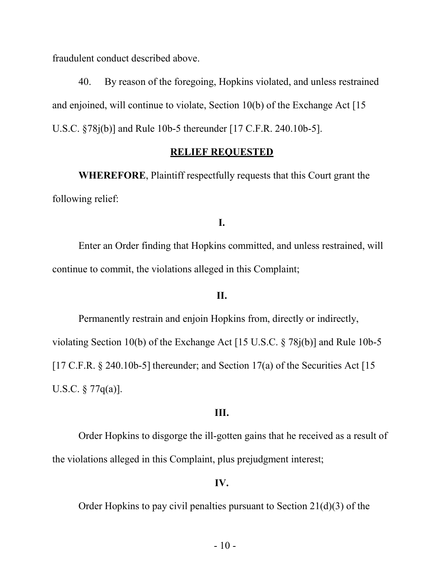fraudulent conduct described above.

40. By reason of the foregoing, Hopkins violated, and unless restrained and enjoined, will continue to violate, Section 10(b) of the Exchange Act [15 U.S.C. §78j(b)] and Rule 10b-5 thereunder [17 C.F.R. 240.10b-5].

### **RELIEF REQUESTED**

**WHEREFORE**, Plaintiff respectfully requests that this Court grant the following relief:

### **I.**

Enter an Order finding that Hopkins committed, and unless restrained, will continue to commit, the violations alleged in this Complaint;

# **II.**

Permanently restrain and enjoin Hopkins from, directly or indirectly, violating Section 10(b) of the Exchange Act [15 U.S.C. § 78j(b)] and Rule 10b-5 [17 C.F.R.  $\S$  240.10b-5] thereunder; and Section 17(a) of the Securities Act [15] U.S.C. § 77q(a)].

## **III.**

Order Hopkins to disgorge the ill-gotten gains that he received as a result of the violations alleged in this Complaint, plus prejudgment interest;

### **IV.**

Order Hopkins to pay civil penalties pursuant to Section 21(d)(3) of the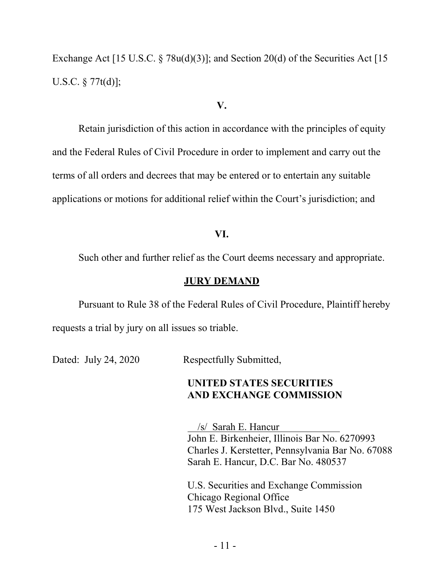Exchange Act [15 U.S.C.  $\S$  78u(d)(3)]; and Section 20(d) of the Securities Act [15 U.S.C. § 77t(d)];

#### **V.**

Retain jurisdiction of this action in accordance with the principles of equity and the Federal Rules of Civil Procedure in order to implement and carry out the terms of all orders and decrees that may be entered or to entertain any suitable applications or motions for additional relief within the Court's jurisdiction; and

#### **VI.**

Such other and further relief as the Court deems necessary and appropriate.

#### **JURY DEMAND**

Pursuant to Rule 38 of the Federal Rules of Civil Procedure, Plaintiff hereby requests a trial by jury on all issues so triable.

Dated: July 24, 2020 Respectfully Submitted,

## **UNITED STATES SECURITIES AND EXCHANGE COMMISSION**

 /s/ Sarah E. Hancur John E. Birkenheier, Illinois Bar No. 6270993 Charles J. Kerstetter, Pennsylvania Bar No. 67088 Sarah E. Hancur, D.C. Bar No. 480537

U.S. Securities and Exchange Commission Chicago Regional Office 175 West Jackson Blvd., Suite 1450